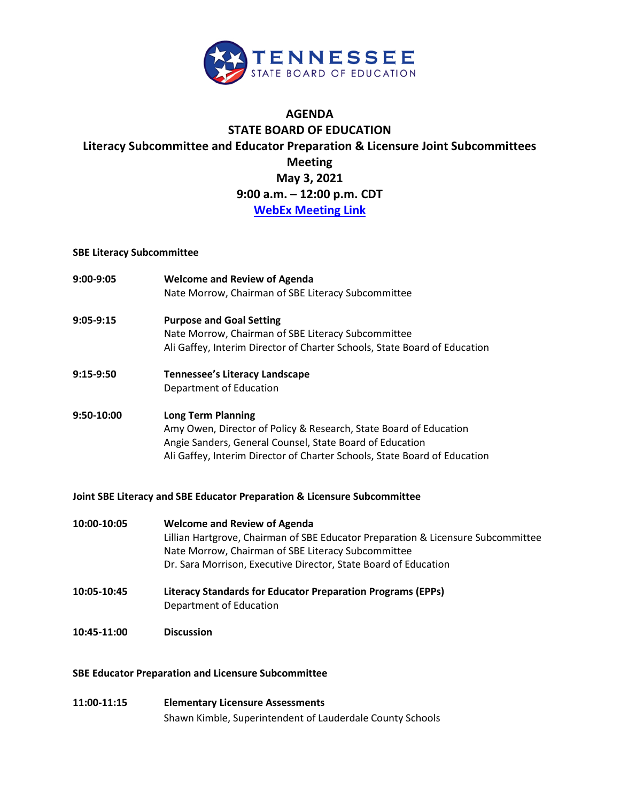

## **AGENDA STATE BOARD OF EDUCATION Literacy Subcommittee and Educator Preparation & Licensure Joint Subcommittees Meeting May 3, 2021 9:00 a.m. – 12:00 p.m. CDT [WebEx Meeting Link](https://tngov.webex.com/mw3300/mywebex/default.do?nomenu=true&siteurl=tngov&service=6&rnd=0.24854369646325547&main_url=https%3A%2F%2Ftngov.webex.com%2Fec3300%2Feventcenter%2Fevent%2FeventAction.do%3FtheAction%3Ddetail%26%26%26EMK%3D4832534b000000047ea8cb32f2447754863ca337b808763b01b9e1886176ecc5b2f1203bd6aa5965%26siteurl%3Dtngov%26confViewID%3D191662936078429730%26encryptTicket%3DSDJTSwAAAATh5D1KlwOgrLA7ORa78oDJk20t8svMiglo1uuYJ_Wypw2%26)**

## **SBE Literacy Subcommittee**

| 9:00-9:05  | <b>Welcome and Review of Agenda</b><br>Nate Morrow, Chairman of SBE Literacy Subcommittee                                                                                                                                               |
|------------|-----------------------------------------------------------------------------------------------------------------------------------------------------------------------------------------------------------------------------------------|
| 9:05-9:15  | <b>Purpose and Goal Setting</b><br>Nate Morrow, Chairman of SBE Literacy Subcommittee<br>Ali Gaffey, Interim Director of Charter Schools, State Board of Education                                                                      |
| 9:15-9:50  | <b>Tennessee's Literacy Landscape</b><br>Department of Education                                                                                                                                                                        |
| 9:50-10:00 | <b>Long Term Planning</b><br>Amy Owen, Director of Policy & Research, State Board of Education<br>Angie Sanders, General Counsel, State Board of Education<br>Ali Gaffey, Interim Director of Charter Schools, State Board of Education |

## **Joint SBE Literacy and SBE Educator Preparation & Licensure Subcommittee**

| 10:00-10:05 | <b>Welcome and Review of Agenda</b><br>Lillian Hartgrove, Chairman of SBE Educator Preparation & Licensure Subcommittee<br>Nate Morrow, Chairman of SBE Literacy Subcommittee<br>Dr. Sara Morrison, Executive Director, State Board of Education |
|-------------|--------------------------------------------------------------------------------------------------------------------------------------------------------------------------------------------------------------------------------------------------|
| 10:05-10:45 | Literacy Standards for Educator Preparation Programs (EPPs)<br>Department of Education                                                                                                                                                           |
| 10:45-11:00 | <b>Discussion</b>                                                                                                                                                                                                                                |

## **SBE Educator Preparation and Licensure Subcommittee**

| 11:00-11:15 | <b>Elementary Licensure Assessments</b>                   |
|-------------|-----------------------------------------------------------|
|             | Shawn Kimble, Superintendent of Lauderdale County Schools |